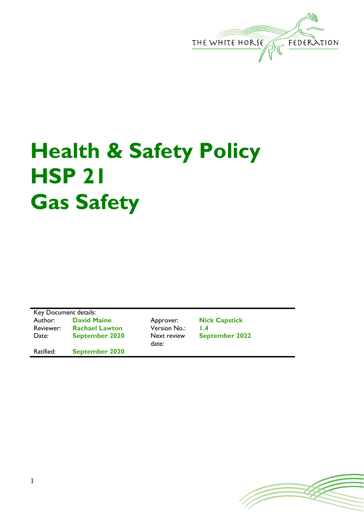

## **Health & Safety Policy HSP 21 Gas Safety**

Key Document details:<br>Author: David M **David Maine Approver: Nick Capstick**<br> **Rachael Lawton Version No.: 1.4** Reviewer: **Rachael Lawton** Version No.: **1.4** Date: **September 2020** Next review

Ratified: **September 2020**

date:

**September 2022**

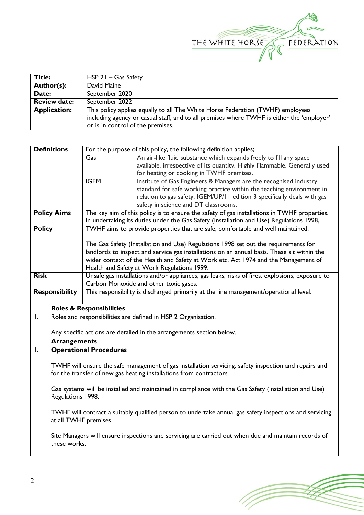

| Title:              | $HSP 21 - Gas Safety$                                                                     |  |  |
|---------------------|-------------------------------------------------------------------------------------------|--|--|
| Author(s):          | David Maine                                                                               |  |  |
| Date:               | September 2020                                                                            |  |  |
| <b>Review date:</b> | September 2022                                                                            |  |  |
| <b>Application:</b> | This policy applies equally to all The White Horse Federation (TWHF) employees            |  |  |
|                     | including agency or casual staff, and to all premises where TWHF is either the 'employer' |  |  |
|                     | or is in control of the premises.                                                         |  |  |

| <b>Definitions</b>                                                                                             | For the purpose of this policy, the following definition applies;                                                                                                            |                                                                                                |                                                                           |  |  |  |
|----------------------------------------------------------------------------------------------------------------|------------------------------------------------------------------------------------------------------------------------------------------------------------------------------|------------------------------------------------------------------------------------------------|---------------------------------------------------------------------------|--|--|--|
|                                                                                                                |                                                                                                                                                                              | Gas                                                                                            | An air-like fluid substance which expands freely to fill any space        |  |  |  |
|                                                                                                                |                                                                                                                                                                              |                                                                                                | available, irrespective of its quantity. Highly Flammable. Generally used |  |  |  |
|                                                                                                                |                                                                                                                                                                              |                                                                                                | for heating or cooking in TWHF premises.                                  |  |  |  |
|                                                                                                                |                                                                                                                                                                              | <b>IGEM</b>                                                                                    | Institute of Gas Engineers & Managers are the recognised industry         |  |  |  |
|                                                                                                                |                                                                                                                                                                              |                                                                                                | standard for safe working practice within the teaching environment in     |  |  |  |
|                                                                                                                |                                                                                                                                                                              |                                                                                                | relation to gas safety. IGEM/UP/11 edition 3 specifically deals with gas  |  |  |  |
|                                                                                                                |                                                                                                                                                                              |                                                                                                | safety in science and DT classrooms.                                      |  |  |  |
|                                                                                                                | <b>Policy Aims</b>                                                                                                                                                           | The key aim of this policy is to ensure the safety of gas installations in TWHF properties.    |                                                                           |  |  |  |
|                                                                                                                |                                                                                                                                                                              | In undertaking its duties under the Gas Safety (Installation and Use) Regulations 1998,        |                                                                           |  |  |  |
| <b>Policy</b>                                                                                                  |                                                                                                                                                                              | TWHF aims to provide properties that are safe, comfortable and well maintained.                |                                                                           |  |  |  |
|                                                                                                                |                                                                                                                                                                              |                                                                                                |                                                                           |  |  |  |
|                                                                                                                |                                                                                                                                                                              | The Gas Safety (Installation and Use) Regulations 1998 set out the requirements for            |                                                                           |  |  |  |
|                                                                                                                |                                                                                                                                                                              | landlords to inspect and service gas installations on an annual basis. These sit within the    |                                                                           |  |  |  |
|                                                                                                                |                                                                                                                                                                              | wider context of the Health and Safety at Work etc. Act 1974 and the Management of             |                                                                           |  |  |  |
| Health and Safety at Work Regulations 1999.                                                                    |                                                                                                                                                                              |                                                                                                |                                                                           |  |  |  |
| <b>Risk</b>                                                                                                    |                                                                                                                                                                              | Unsafe gas installations and/or appliances, gas leaks, risks of fires, explosions, exposure to |                                                                           |  |  |  |
|                                                                                                                |                                                                                                                                                                              |                                                                                                | Carbon Monoxide and other toxic gases.                                    |  |  |  |
| <b>Responsibility</b><br>This responsibility is discharged primarily at the line management/operational level. |                                                                                                                                                                              |                                                                                                |                                                                           |  |  |  |
|                                                                                                                |                                                                                                                                                                              | <b>Roles &amp; Responsibilities</b>                                                            |                                                                           |  |  |  |
| $\overline{\phantom{a}}$                                                                                       | Roles and responsibilities are defined in HSP 2 Organisation.                                                                                                                |                                                                                                |                                                                           |  |  |  |
|                                                                                                                |                                                                                                                                                                              |                                                                                                |                                                                           |  |  |  |
|                                                                                                                |                                                                                                                                                                              |                                                                                                | Any specific actions are detailed in the arrangements section below.      |  |  |  |
|                                                                                                                | <b>Arrangements</b>                                                                                                                                                          |                                                                                                |                                                                           |  |  |  |
| $\overline{\phantom{a}}$                                                                                       | <b>Operational Procedures</b>                                                                                                                                                |                                                                                                |                                                                           |  |  |  |
|                                                                                                                | TWHF will ensure the safe management of gas installation servicing, safety inspection and repairs and<br>for the transfer of new gas heating installations from contractors. |                                                                                                |                                                                           |  |  |  |
|                                                                                                                | Gas systems will be installed and maintained in compliance with the Gas Safety (Installation and Use)<br>Regulations 1998.                                                   |                                                                                                |                                                                           |  |  |  |
|                                                                                                                | TWHF will contract a suitably qualified person to undertake annual gas safety inspections and servicing<br>at all TWHF premises.                                             |                                                                                                |                                                                           |  |  |  |
|                                                                                                                | Site Managers will ensure inspections and servicing are carried out when due and maintain records of<br>these works.                                                         |                                                                                                |                                                                           |  |  |  |

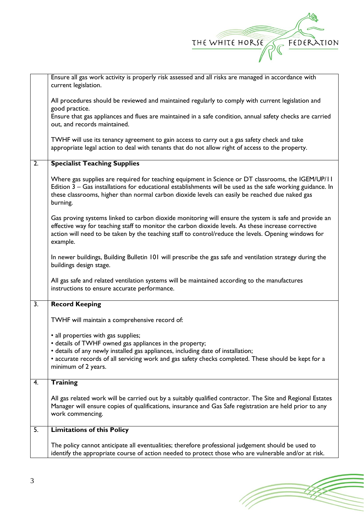

|                  | Ensure all gas work activity is properly risk assessed and all risks are managed in accordance with<br>current legislation.                                                                                                                                                                                                      |
|------------------|----------------------------------------------------------------------------------------------------------------------------------------------------------------------------------------------------------------------------------------------------------------------------------------------------------------------------------|
|                  | All procedures should be reviewed and maintained regularly to comply with current legislation and<br>good practice.                                                                                                                                                                                                              |
|                  | Ensure that gas appliances and flues are maintained in a safe condition, annual safety checks are carried<br>out, and records maintained.                                                                                                                                                                                        |
|                  | TWHF will use its tenancy agreement to gain access to carry out a gas safety check and take<br>appropriate legal action to deal with tenants that do not allow right of access to the property.                                                                                                                                  |
| $\overline{2}$ . | <b>Specialist Teaching Supplies</b>                                                                                                                                                                                                                                                                                              |
|                  | Where gas supplies are required for teaching equipment in Science or DT classrooms, the IGEM/UP/11<br>Edition $3 -$ Gas installations for educational establishments will be used as the safe working guidance. In<br>these classrooms, higher than normal carbon dioxide levels can easily be reached due naked gas<br>burning. |
|                  | Gas proving systems linked to carbon dioxide monitoring will ensure the system is safe and provide an<br>effective way for teaching staff to monitor the carbon dioxide levels. As these increase corrective<br>action will need to be taken by the teaching staff to control/reduce the levels. Opening windows for<br>example. |
|                  | In newer buildings, Building Bulletin 101 will prescribe the gas safe and ventilation strategy during the<br>buildings design stage.                                                                                                                                                                                             |
|                  | All gas safe and related ventilation systems will be maintained according to the manufactures<br>instructions to ensure accurate performance.                                                                                                                                                                                    |
| $\overline{3}$ . | <b>Record Keeping</b>                                                                                                                                                                                                                                                                                                            |
|                  | TWHF will maintain a comprehensive record of:                                                                                                                                                                                                                                                                                    |
|                  | • all properties with gas supplies;<br>• details of TWHF owned gas appliances in the property;<br>• details of any newly installed gas appliances, including date of installation;<br>• accurate records of all servicing work and gas safety checks completed. These should be kept for a                                       |
|                  | minimum of 2 years.                                                                                                                                                                                                                                                                                                              |
| 4.               | <b>Training</b>                                                                                                                                                                                                                                                                                                                  |
|                  | All gas related work will be carried out by a suitably qualified contractor. The Site and Regional Estates<br>Manager will ensure copies of qualifications, insurance and Gas Safe registration are held prior to any<br>work commencing.                                                                                        |
| 5.               | <b>Limitations of this Policy</b>                                                                                                                                                                                                                                                                                                |
|                  | The policy cannot anticipate all eventualities; therefore professional judgement should be used to<br>identify the appropriate course of action needed to protect those who are vulnerable and/or at risk.                                                                                                                       |